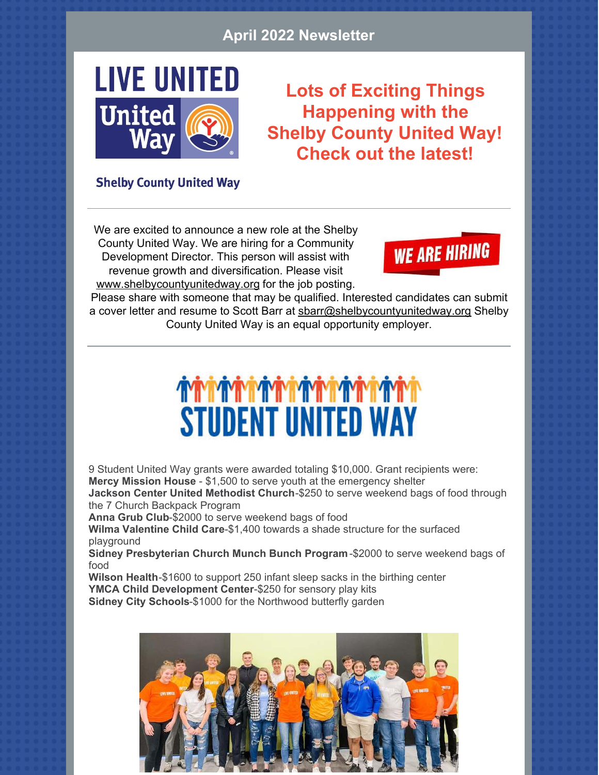#### **April 2022 Newsletter**



**Lots of Exciting Things Happening with the Shelby County United Way! Check out the latest!**

#### **Shelby County United Way**

We are excited to announce a new role at the Shelby County United Way. We are hiring for a Community Development Director. This person will assist with revenue growth and diversification. Please visit [www.shelbycountyunitedway.org](http://www.shelbycountyunitedway.org) for the job posting.

**WE ARE HIRING** 

Please share with someone that may be qualified. Interested candidates can submit a cover letter and resume to Scott Barr at [sbarr@shelbycountyunitedway.org](mailto:sbarr@shelbycountyunitedway.org) Shelby County United Way is an equal opportunity employer.

## **STUDENT UNITED WAY**

9 Student United Way grants were awarded totaling \$10,000. Grant recipients were: **Mercy Mission House** - \$1,500 to serve youth at the emergency shelter **Jackson Center United Methodist Church**-\$250 to serve weekend bags of food through

the 7 Church Backpack Program

**Anna Grub Club**-\$2000 to serve weekend bags of food

**Wilma Valentine Child Care**-\$1,400 towards a shade structure for the surfaced playground

**Sidney Presbyterian Church Munch Bunch Program**-\$2000 to serve weekend bags of food

**Wilson Health**-\$1600 to support 250 infant sleep sacks in the birthing center **YMCA Child Development Center**-\$250 for sensory play kits **Sidney City Schools**-\$1000 for the Northwood butterfly garden

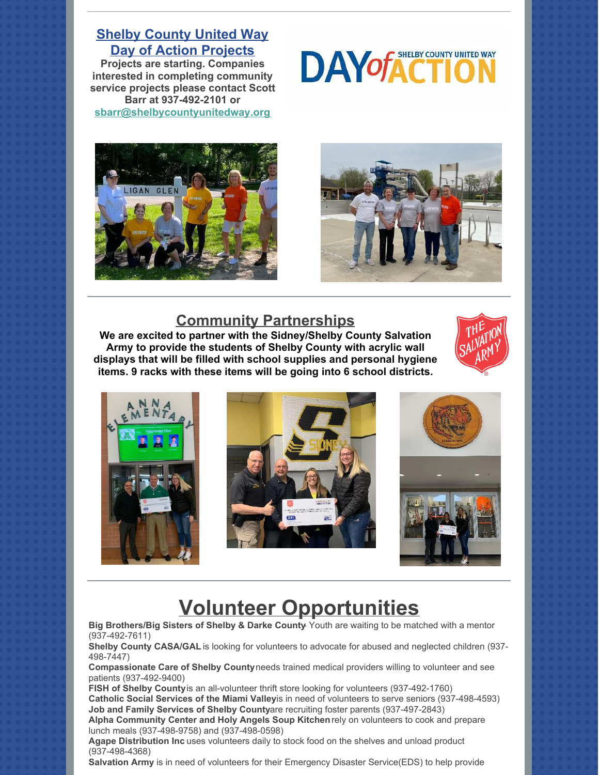**Shelby County United Way Day of Action Projects**

**Projects are starting. Companies interested in completing community service projects please contact Scott Barr at 937-492-2101 or [sbarr@shelbycountyunitedway.org](mailto:sbarr@shelbycountyunitedway.org)**







#### **Community Partnerships**

**[We are excited to partner with the Sidney/Shelby County Salvation](https://www.facebook.com/shelbycountyunitedway/?__cft__%5B0%5D=AZWsp_eQkFXivc12FpxfyZGpsy26Tn8eMhNU6Vd3Dpp54LmnqGkH2nATwgoYJuZ_pjVM3hrQZO2pD95UeYX1WIrmIVX_GZN2hvMDEfbqDqCWDp0nV3xO8oNnMdf7KVmlTzJCUwgC1CKa5w-Jl-Ol10bVS_UytYBQPyyrm04P3qM-qiVQ5r6sStF7nvxRJvLYQ1FwkBT9WioZtUJy0z6Z9g-phNA35jQ5WVhuqIMMct1Y7w&__tn__=kK-y-R) Army to provide the students of Shelby County with acrylic wall displays that will be filled with school supplies and personal hygiene items. 9 racks with these items will be going into 6 school districts.**





### **Volunteer Opportunities**

**Big Brothers/Big Sisters of Shelby & Darke County**- Youth are waiting to be matched with a mentor (937-492-7611)

**Shelby County CASA/GAL** is looking for volunteers to advocate for abused and neglected children (937- 498-7447)

**Compassionate Care of Shelby County** needs trained medical providers willing to volunteer and see patients (937-492-9400)

**FISH of Shelby County** is an all-volunteer thrift store looking for volunteers (937-492-1760) Catholic Social Services of the Miami Valleyis in need of volunteers to serve seniors (937-498-4593) **Job and Family Services of Shelby Countyare recruiting foster parents (937-497-2843) Alpha Community Center and Holy Angels Soup Kitchen** rely on volunteers to cook and prepare

lunch meals (937-498-9758) and (937-498-0598) **Agape Distribution Inc** uses volunteers daily to stock food on the shelves and unload product

(937-498-4368)

**Salvation Army** is in need of volunteers for their Emergency Disaster Service(EDS) to help provide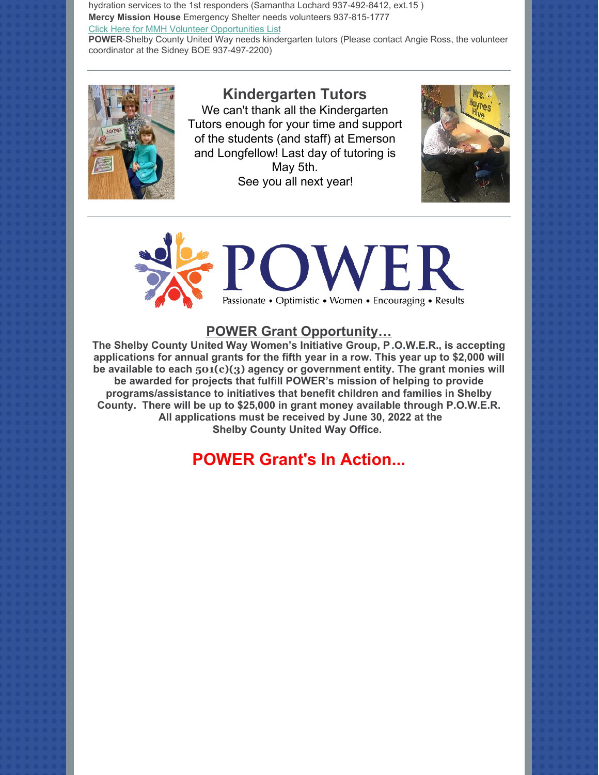hydration services to the 1st responders (Samantha Lochard 937-492-8412, ext.15 ) **Mercy Mission House** Emergency Shelter needs volunteers 937-815-1777 [Click Here for MMH Volunteer Opportunities List](https://files.constantcontact.com/4a814c7e501/6909b815-8633-44d5-b5bb-0be6a369f729.pdf)

**POWER**-Shelby County United Way needs kindergarten tutors (Please contact Angie Ross, the volunteer coordinator at the Sidney BOE 937-497-2200)



#### **Kindergarten Tutors**

We can't thank all the Kindergarten Tutors enough for your time and support of the students (and staff) at Emerson and Longfellow! Last day of tutoring is May 5th. See you all next year!





#### **POWER Grant Opportunity…**

**The Shelby County United Way Women's Initiative Group, P.O.W.E.R., is accepting applications for annual grants for the fifth year in a row. This year up to \$2,000 will be available to each 501(c)(3) agency or government entity. The grant monies will be awarded for projects that fulfill POWER's mission of helping to provide programs/assistance to initiatives that benefit children and families in Shelby County. There will be up to \$25,000 in grant money available through P.O.W.E.R. All applications must be received by June 30, 2022 at the Shelby County United Way Office.** 

#### **POWER Grant's In Action...**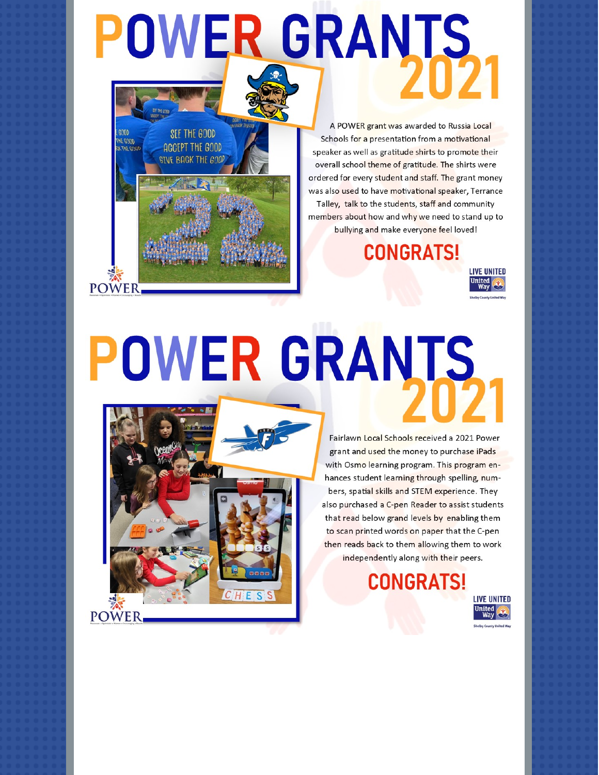# **POWER GRANTS**

A POWER grant was awarded to Russia Local Schools for a presentation from a motivational speaker as well as gratitude shirts to promote their overall school theme of gratitude. The shirts were ordered for every student and staff. The grant money was also used to have motivational speaker, Terrance Talley, talk to the students, staff and community members about how and why we need to stand up to bullying and make everyone feel loved!

**CONGRATS!** 



# **POWER GRANTS**



SEE THE GOOD

**AGCEPT THE GOOD** 

**GTVF BACK THE GOOD** 

**HE GUUL** 

**POWER** 

Fairlawn Local Schools received a 2021 Power grant and used the money to purchase iPads with Osmo learning program. This program enhances student learning through spelling, numbers, spatial skills and STEM experience. They also purchased a C-pen Reader to assist students that read below grand levels by enabling them to scan printed words on paper that the C-pen then reads back to them allowing them to work independently along with their peers.

### **CONGRATS!**